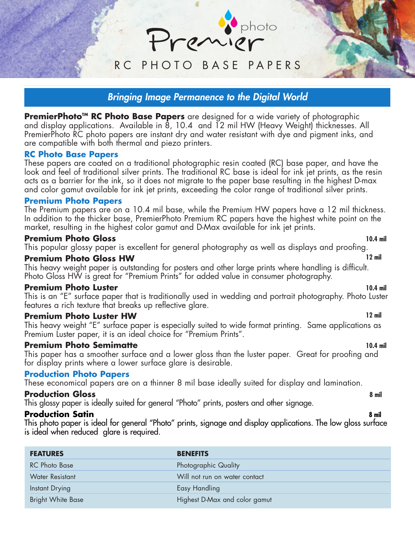RC PHOTO BASE PAPERS

photo

# **Bringing Image Permanence to the Digital World**

**PremierPhoto™ RC Photo Base Papers** are designed for a wide variety of photographic and display applications. Available in 8, 10.4 and 12 mil HW (Heavy Weight) thicknesses. All PremierPhoto RC photo papers are instant dry and water resistant with dye and pigment inks, and are compatible with both thermal and piezo printers.

#### **RC Photo Base Papers**

These papers are coated on a traditional photographic resin coated (RC) base paper, and have the look and feel of traditional silver prints. The traditional RC base is ideal for ink jet prints, as the resin acts as a barrier for the ink, so it does not migrate to the paper base resulting in the highest D-max and color gamut available for ink jet prints, exceeding the color range of traditional silver prints.

#### **Premium Photo Papers**

The Premium papers are on a 10.4 mil base, while the Premium HW papers have a 12 mil thickness. In addition to the thicker base, PremierPhoto Premium RC papers have the highest white point on the market, resulting in the highest color gamut and D-Max available for ink jet prints.

#### **Premium Photo Gloss 10.4 mil**

This popular glossy paper is excellent for general photography as well as displays and proofing.

#### **Premium Photo Gloss HW 12 mil**

This heavy weight paper is outstanding for posters and other large prints where handling is difficult. Photo Gloss HW is great for "Premium Prints" for added value in consumer photography.

#### **Premium Photo Luster 10.4 mil**

This is an "E" surface paper that is traditionally used in wedding and portrait photography. Photo Luster features a rich texture that breaks up reflective glare.

## **Premium Photo Luster HW 12 mil**

This heavy weight "E" surface paper is especially suited to wide format printing. Same applications as Premium Luster paper, it is an ideal choice for "Premium Prints".

### **Premium Photo Semimatte 10.4 mil**

This paper has a smoother surface and a lower gloss than the luster paper. Great for proofing and for display prints where a lower surface glare is desirable.

### **Production Photo Papers**

These economical papers are on a thinner 8 mil base ideally suited for display and lamination.

### **Production Gloss 8 mil**

This glossy paper is ideally suited for general "Photo" prints, posters and other signage.

### **Production Satin 8 mil**

This photo paper is ideal for general "Photo" prints, signage and display applications. The low gloss surface is ideal when reduced glare is required.

| <b>FEATURES</b>          | <b>BENEFITS</b>               |
|--------------------------|-------------------------------|
| <b>RC</b> Photo Base     | <b>Photographic Quality</b>   |
| <b>Water Resistant</b>   | Will not run on water contact |
| Instant Drying           | <b>Easy Handling</b>          |
| <b>Bright White Base</b> | Highest D-Max and color gamut |